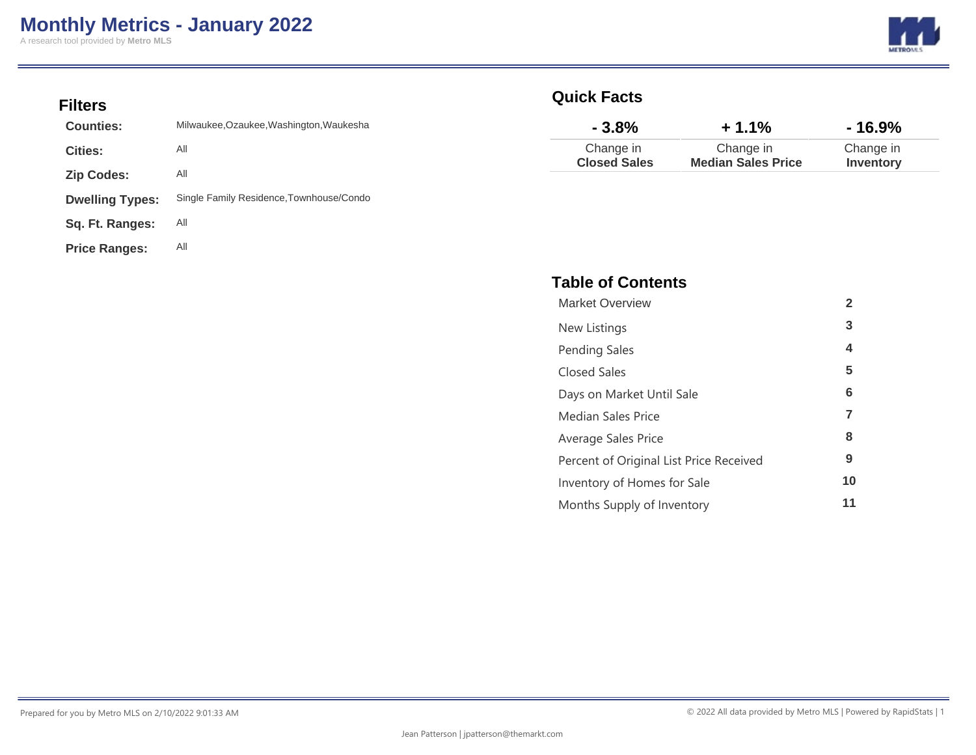### **Filters**

| <b>Counties:</b>       | Milwaukee, Ozaukee, Washington, Waukesha |
|------------------------|------------------------------------------|
| <b>Cities:</b>         | All                                      |
| <b>Zip Codes:</b>      | All                                      |
| <b>Dwelling Types:</b> | Single Family Residence, Townhouse/Condo |
| Sq. Ft. Ranges:        | All                                      |
| <b>Price Ranges:</b>   | All                                      |

### **Quick Facts**

| $-3.8%$             | $+1.1%$                   | - 16.9%   |
|---------------------|---------------------------|-----------|
| Change in           | Change in                 | Change in |
| <b>Closed Sales</b> | <b>Median Sales Price</b> | Inventory |

### **Table of Contents**

| <b>Market Overview</b>                  | $\mathbf{2}$ |
|-----------------------------------------|--------------|
| New Listings                            | 3            |
| <b>Pending Sales</b>                    | 4            |
| <b>Closed Sales</b>                     | 5            |
| Days on Market Until Sale               | 6            |
| Median Sales Price                      | 7            |
| Average Sales Price                     | 8            |
| Percent of Original List Price Received | 9            |
| Inventory of Homes for Sale             | 10           |
| Months Supply of Inventory              | 11           |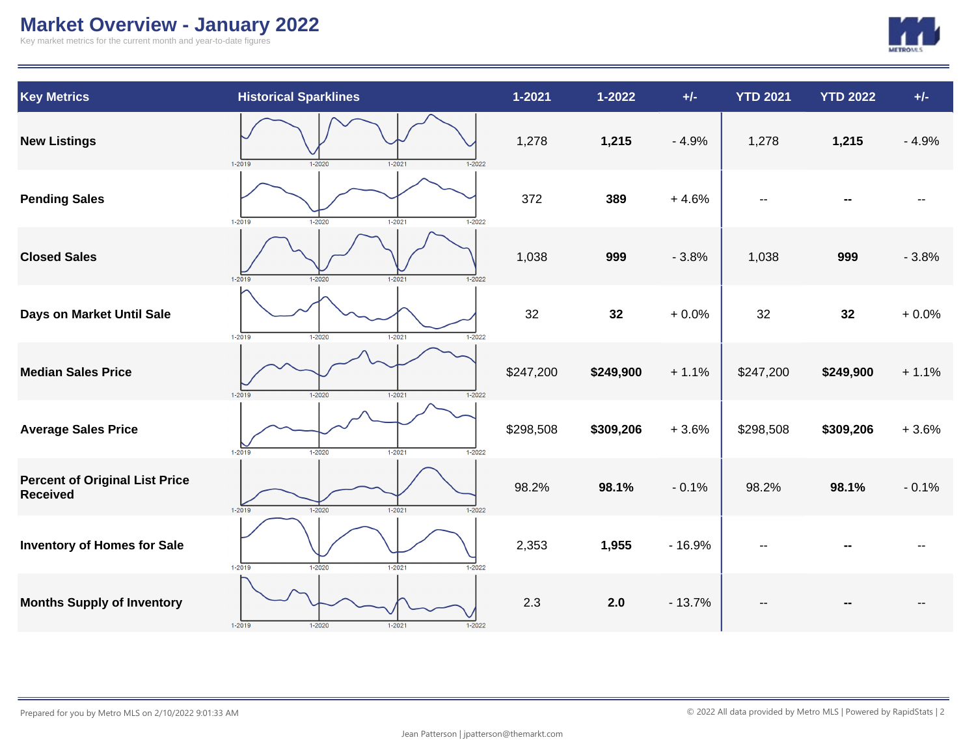# **Market Overview - January 2022**

Key market metrics for the current month and year-to-date figures



| <b>Key Metrics</b>                                       | <b>Historical Sparklines</b>                         | $1 - 2021$ | $1 - 2022$ | $+/-$    | <b>YTD 2021</b> | <b>YTD 2022</b> | $+/-$   |
|----------------------------------------------------------|------------------------------------------------------|------------|------------|----------|-----------------|-----------------|---------|
| <b>New Listings</b>                                      | $1 - 2019$<br>$1 - 2021$<br>1-2020<br>$1 - 2022$     | 1,278      | 1,215      | $-4.9%$  | 1,278           | 1,215           | $-4.9%$ |
| <b>Pending Sales</b>                                     | $1 - 2019$<br>$1 - 2021$<br>$1 - 2020$<br>$1 - 2022$ | 372        | 389        | $+4.6%$  |                 |                 |         |
| <b>Closed Sales</b>                                      | $1 - 2019$<br>$1 - 2020$<br>$1 - 2021$<br>$1 - 2022$ | 1,038      | 999        | $-3.8%$  | 1,038           | 999             | $-3.8%$ |
| Days on Market Until Sale                                | $1 - 2019$<br>$1 - 2020$<br>$1 - 2021$<br>$1 - 2022$ | 32         | 32         | $+0.0%$  | 32              | 32              | $+0.0%$ |
| <b>Median Sales Price</b>                                | $1 - 2019$<br>$1 - 2020$<br>$1 - 2021$<br>$1 - 2022$ | \$247,200  | \$249,900  | $+1.1%$  | \$247,200       | \$249,900       | $+1.1%$ |
| <b>Average Sales Price</b>                               | $1 - 2019$<br>$1 - 2021$<br>$1 - 2020$<br>$1 - 2022$ | \$298,508  | \$309,206  | $+3.6%$  | \$298,508       | \$309,206       | $+3.6%$ |
| <b>Percent of Original List Price</b><br><b>Received</b> | $1 - 2019$<br>$1 - 2020$<br>$1 - 2021$<br>$1 - 2022$ | 98.2%      | 98.1%      | $-0.1%$  | 98.2%           | 98.1%           | $-0.1%$ |
| <b>Inventory of Homes for Sale</b>                       | $1 - 2019$<br>$1 - 2020$<br>$1 - 2021$<br>$1 - 2022$ | 2,353      | 1,955      | $-16.9%$ |                 |                 |         |
| <b>Months Supply of Inventory</b>                        | $1 - 2019$<br>$1 - 2020$<br>$1 - 2021$<br>$1 - 2022$ | 2.3        | 2.0        | $-13.7%$ |                 |                 |         |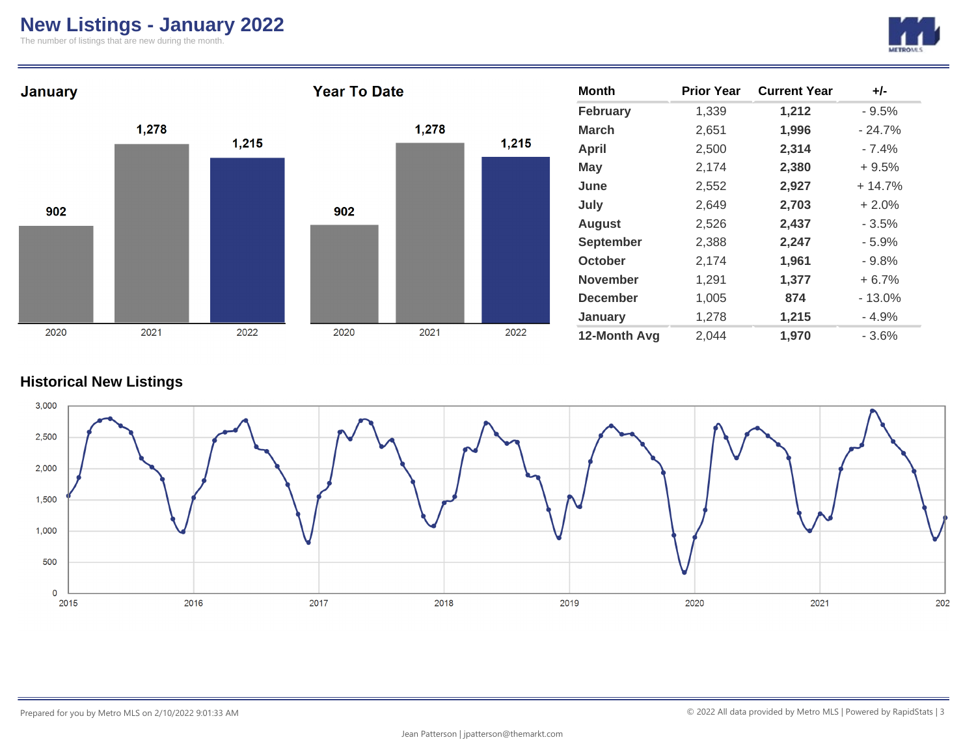# **New Listings - January 2022**

The number of listings that are new during the month.





### **Historical New Listings**

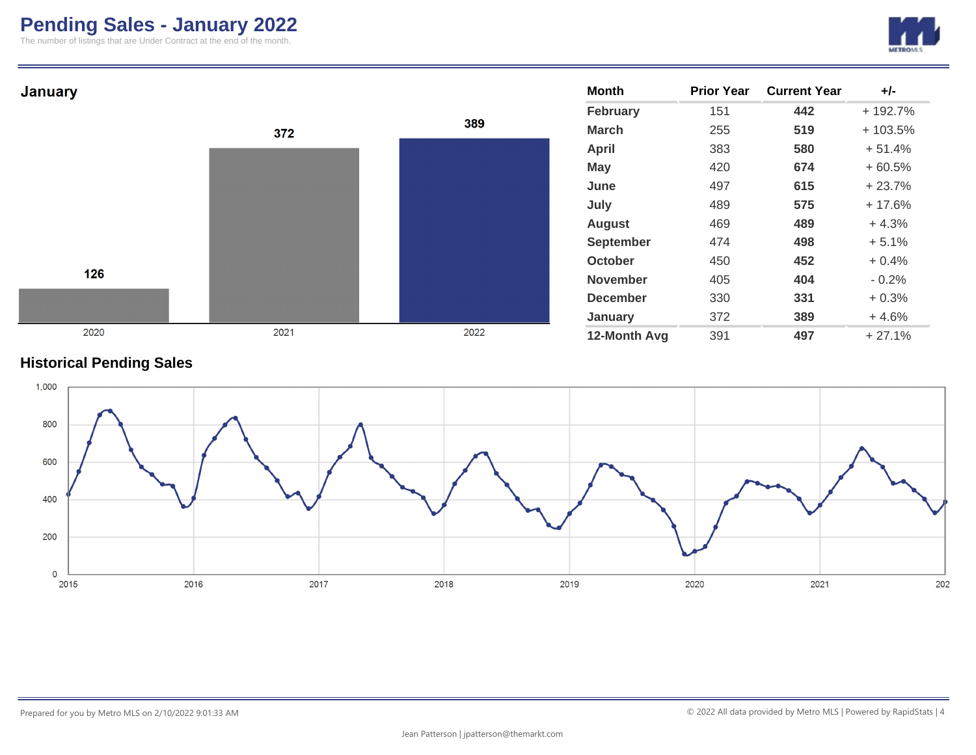# **Pending Sales - January 2022**

The number of listings that are Under Contract at the end of the month.





### **Historical Pending Sales**

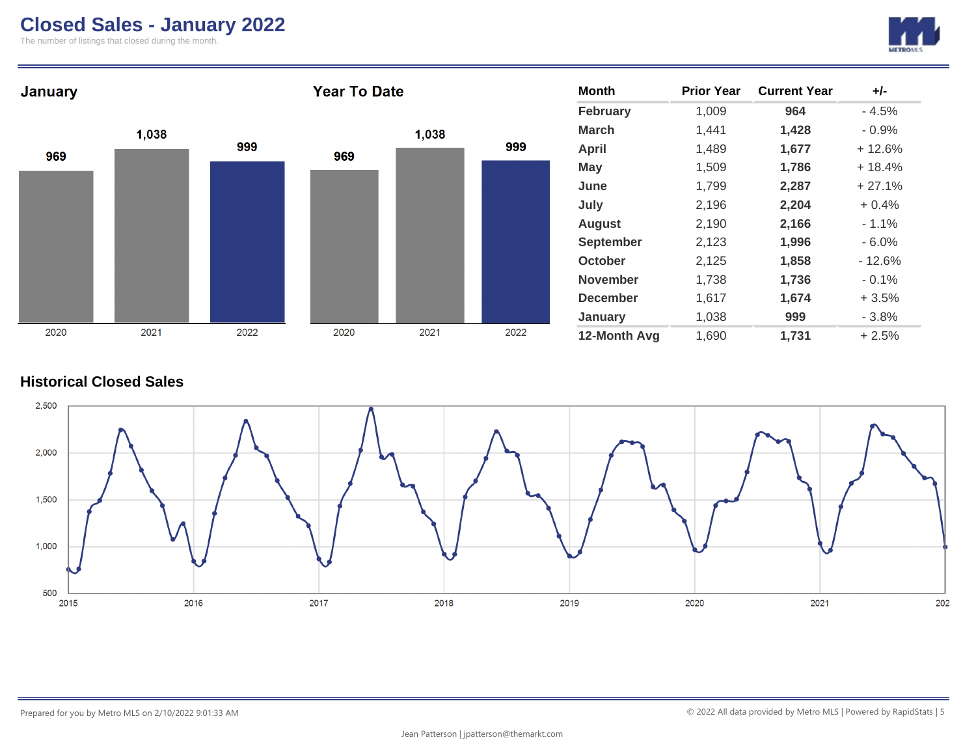## **Closed Sales - January 2022**

The number of listings that closed during the month.





### **Historical Closed Sales**

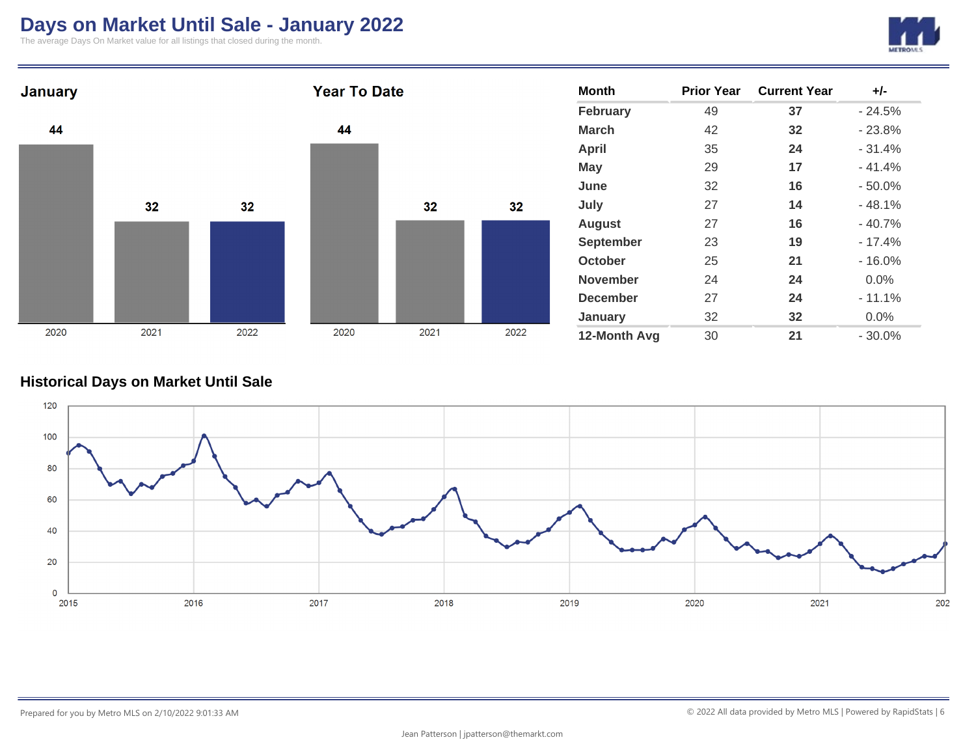## **Days on Market Until Sale - January 2022**

The average Days On Market value for all listings that closed during the month.





### **Historical Days on Market Until Sale**

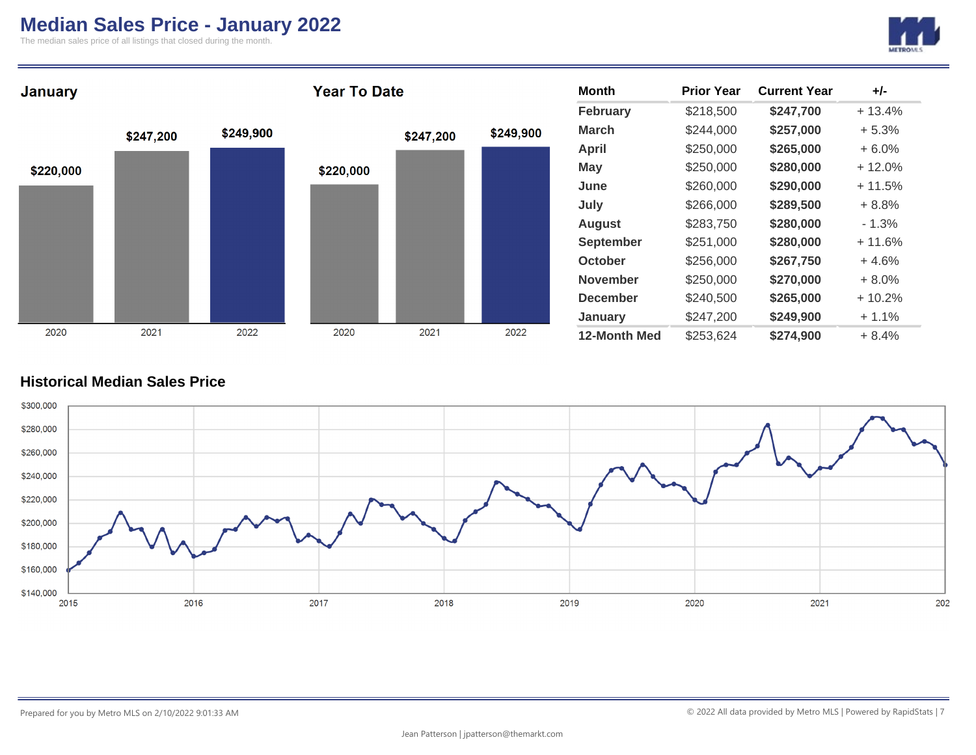### **Median Sales Price - January 2022**

The median sales price of all listings that closed during the month.





### **Historical Median Sales Price**

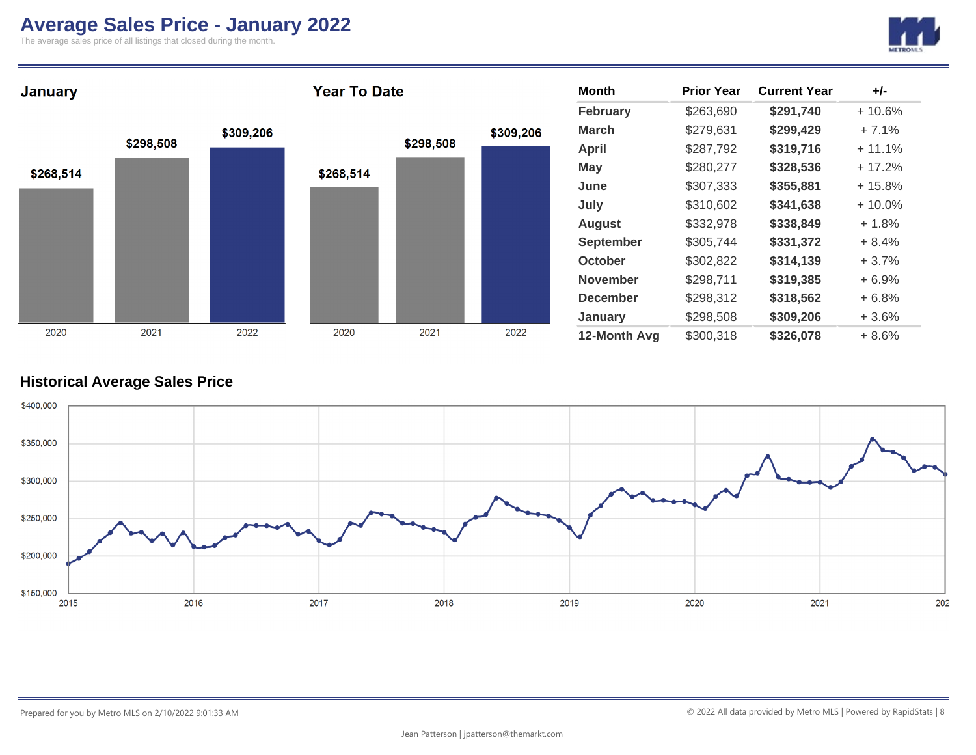## **Average Sales Price - January 2022**

The average sales price of all listings that closed during the month.





### **Historical Average Sales Price**

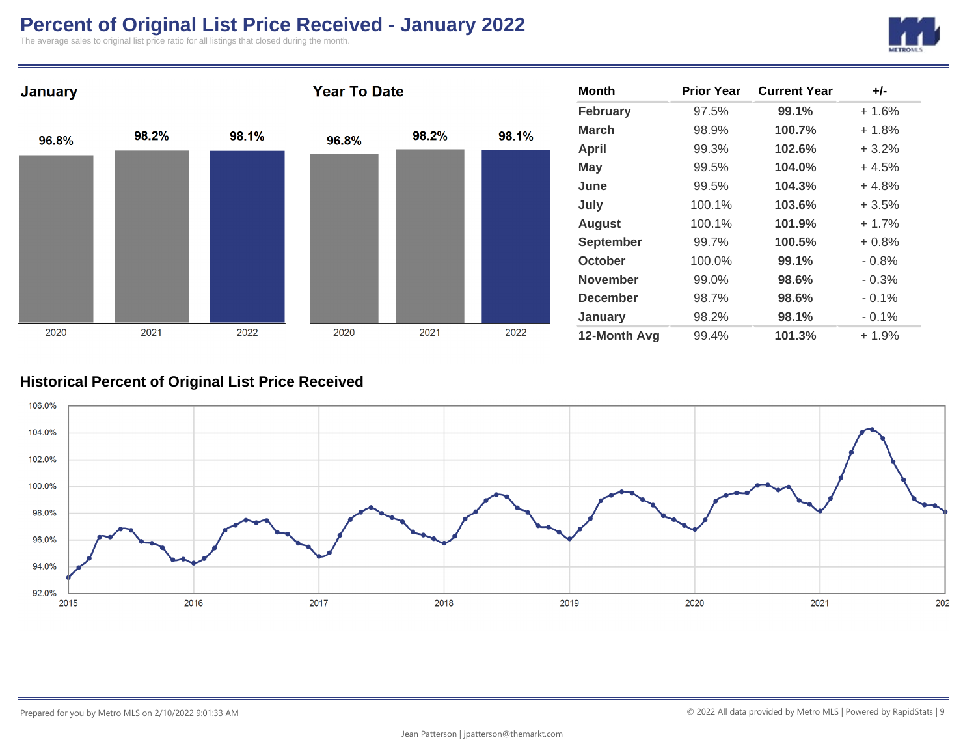# **Percent of Original List Price Received - January 2022**

The average sales to original list price ratio for all listings that closed during the month.





### **Historical Percent of Original List Price Received**

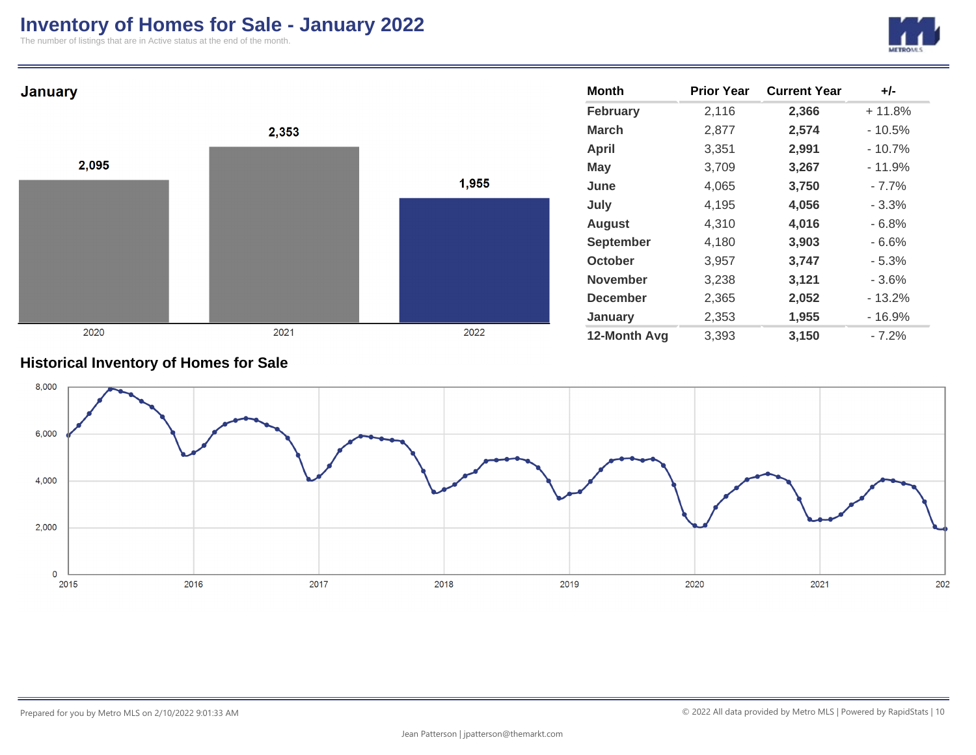## **Inventory of Homes for Sale - January 2022**

The number of listings that are in Active status at the end of the month.





### **Historical Inventory of Homes for Sale**